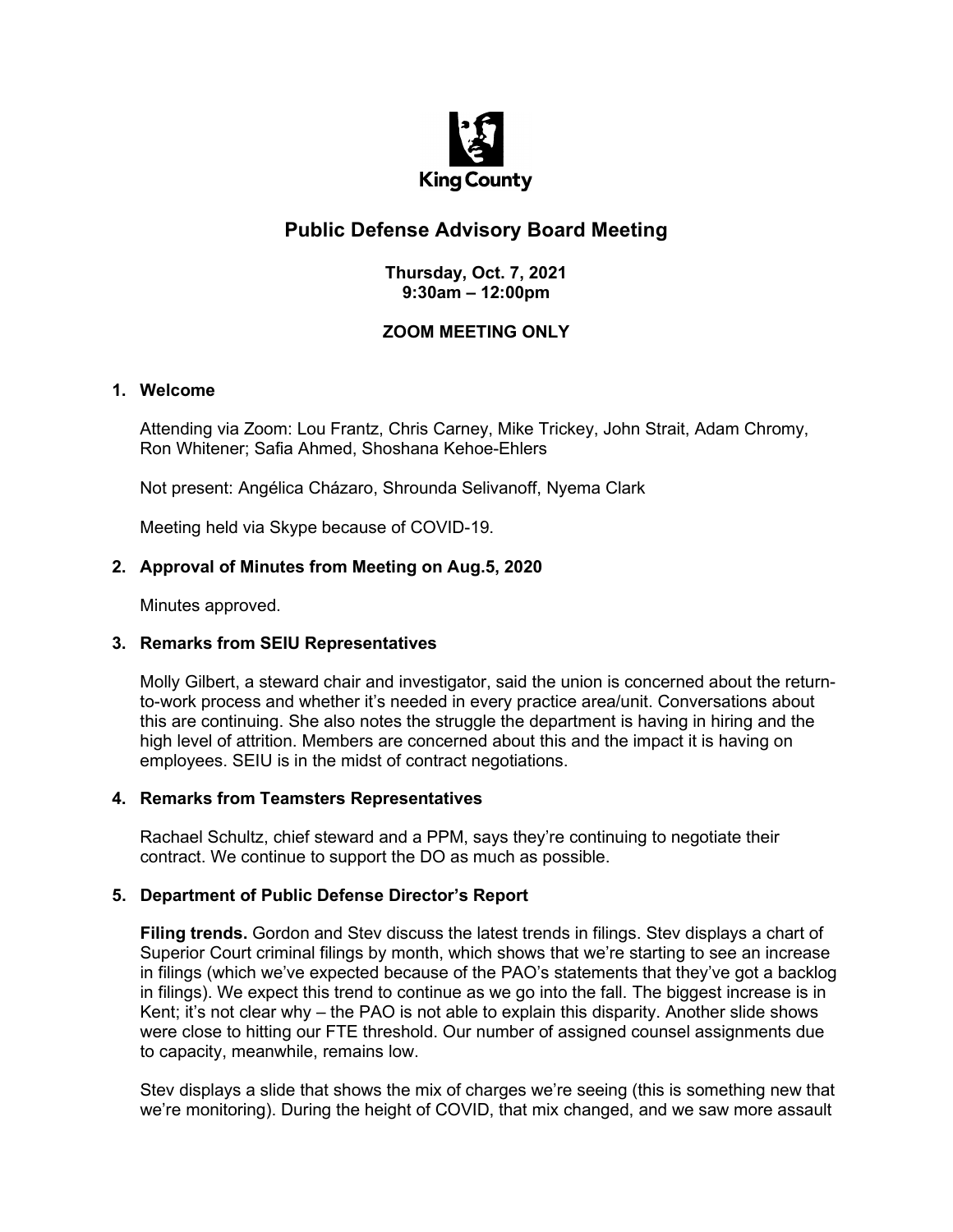

# **Public Defense Advisory Board Meeting**

# **Thursday, Oct. 7, 2021 9:30am – 12:00pm**

# **ZOOM MEETING ONLY**

#### **1. Welcome**

Attending via Zoom: Lou Frantz, Chris Carney, Mike Trickey, John Strait, Adam Chromy, Ron Whitener; Safia Ahmed, Shoshana Kehoe-Ehlers

Not present: Angélica Cházaro, Shrounda Selivanoff, Nyema Clark

Meeting held via Skype because of COVID-19.

#### **2. Approval of Minutes from Meeting on Aug.5, 2020**

Minutes approved.

#### **3. Remarks from SEIU Representatives**

Molly Gilbert, a steward chair and investigator, said the union is concerned about the returnto-work process and whether it's needed in every practice area/unit. Conversations about this are continuing. She also notes the struggle the department is having in hiring and the high level of attrition. Members are concerned about this and the impact it is having on employees. SEIU is in the midst of contract negotiations.

# **4. Remarks from Teamsters Representatives**

Rachael Schultz, chief steward and a PPM, says they're continuing to negotiate their contract. We continue to support the DO as much as possible.

# **5. Department of Public Defense Director's Report**

**Filing trends.** Gordon and Stev discuss the latest trends in filings. Stev displays a chart of Superior Court criminal filings by month, which shows that we're starting to see an increase in filings (which we've expected because of the PAO's statements that they've got a backlog in filings). We expect this trend to continue as we go into the fall. The biggest increase is in Kent; it's not clear why – the PAO is not able to explain this disparity. Another slide shows were close to hitting our FTE threshold. Our number of assigned counsel assignments due to capacity, meanwhile, remains low.

Stev displays a slide that shows the mix of charges we're seeing (this is something new that we're monitoring). During the height of COVID, that mix changed, and we saw more assault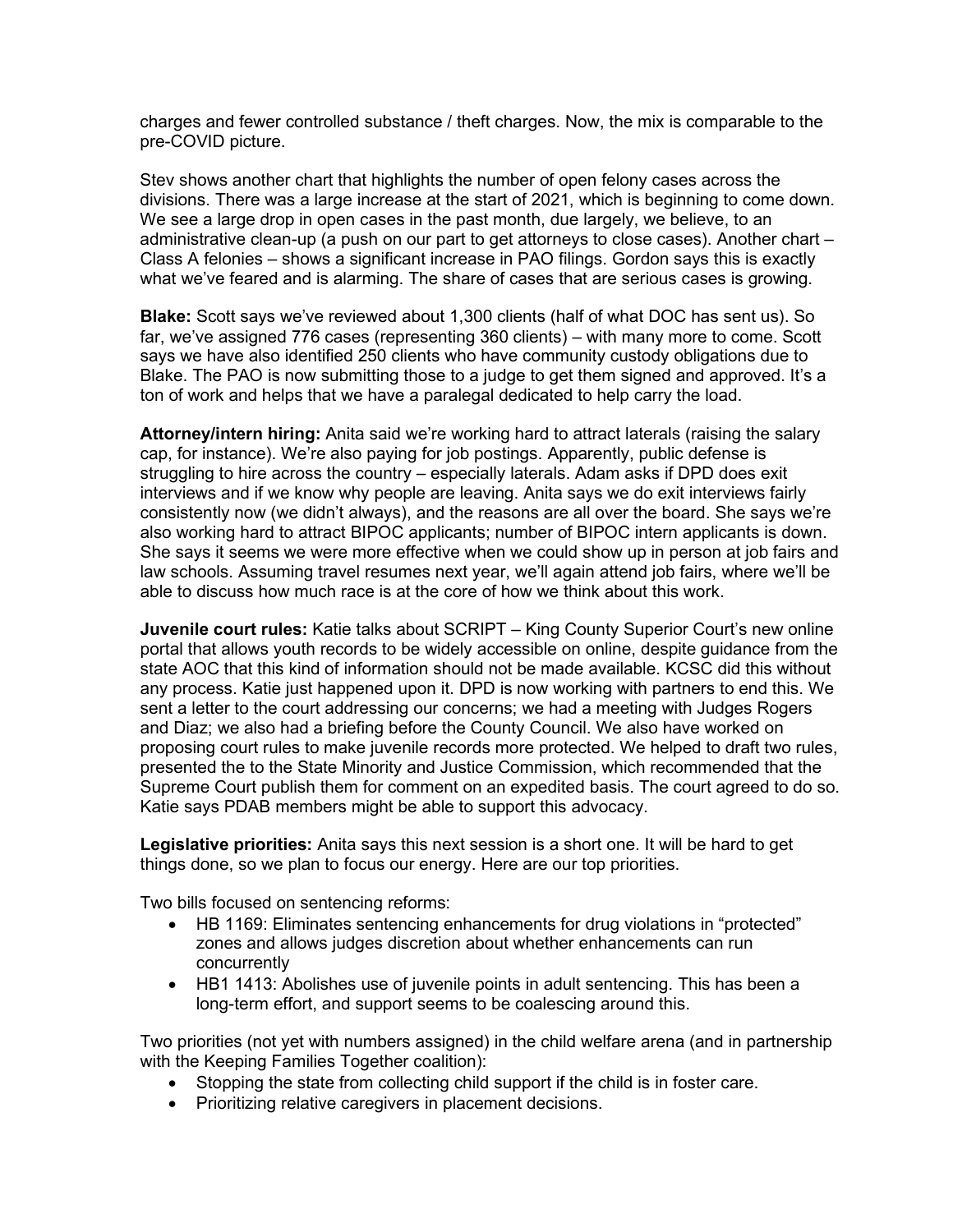charges and fewer controlled substance / theft charges. Now, the mix is comparable to the pre-COVID picture.

Stev shows another chart that highlights the number of open felony cases across the divisions. There was a large increase at the start of 2021, which is beginning to come down. We see a large drop in open cases in the past month, due largely, we believe, to an administrative clean-up (a push on our part to get attorneys to close cases). Another chart – Class A felonies – shows a significant increase in PAO filings. Gordon says this is exactly what we've feared and is alarming. The share of cases that are serious cases is growing.

**Blake:** Scott says we've reviewed about 1,300 clients (half of what DOC has sent us). So far, we've assigned 776 cases (representing 360 clients) – with many more to come. Scott says we have also identified 250 clients who have community custody obligations due to Blake. The PAO is now submitting those to a judge to get them signed and approved. It's a ton of work and helps that we have a paralegal dedicated to help carry the load.

**Attorney/intern hiring:** Anita said we're working hard to attract laterals (raising the salary cap, for instance). We're also paying for job postings. Apparently, public defense is struggling to hire across the country – especially laterals. Adam asks if DPD does exit interviews and if we know why people are leaving. Anita says we do exit interviews fairly consistently now (we didn't always), and the reasons are all over the board. She says we're also working hard to attract BIPOC applicants; number of BIPOC intern applicants is down. She says it seems we were more effective when we could show up in person at job fairs and law schools. Assuming travel resumes next year, we'll again attend job fairs, where we'll be able to discuss how much race is at the core of how we think about this work.

**Juvenile court rules:** Katie talks about SCRIPT – King County Superior Court's new online portal that allows youth records to be widely accessible on online, despite guidance from the state AOC that this kind of information should not be made available. KCSC did this without any process. Katie just happened upon it. DPD is now working with partners to end this. We sent a letter to the court addressing our concerns; we had a meeting with Judges Rogers and Diaz; we also had a briefing before the County Council. We also have worked on proposing court rules to make juvenile records more protected. We helped to draft two rules, presented the to the State Minority and Justice Commission, which recommended that the Supreme Court publish them for comment on an expedited basis. The court agreed to do so. Katie says PDAB members might be able to support this advocacy.

**Legislative priorities:** Anita says this next session is a short one. It will be hard to get things done, so we plan to focus our energy. Here are our top priorities.

Two bills focused on sentencing reforms:

- HB 1169: Eliminates sentencing enhancements for drug violations in "protected" zones and allows judges discretion about whether enhancements can run concurrently
- HB1 1413: Abolishes use of juvenile points in adult sentencing. This has been a long-term effort, and support seems to be coalescing around this.

Two priorities (not yet with numbers assigned) in the child welfare arena (and in partnership with the Keeping Families Together coalition):

- Stopping the state from collecting child support if the child is in foster care.
- Prioritizing relative caregivers in placement decisions.